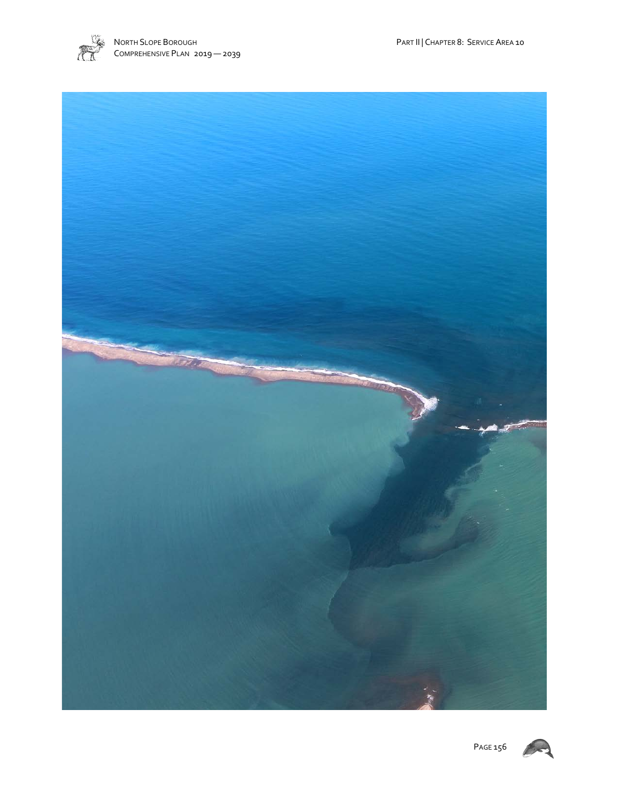



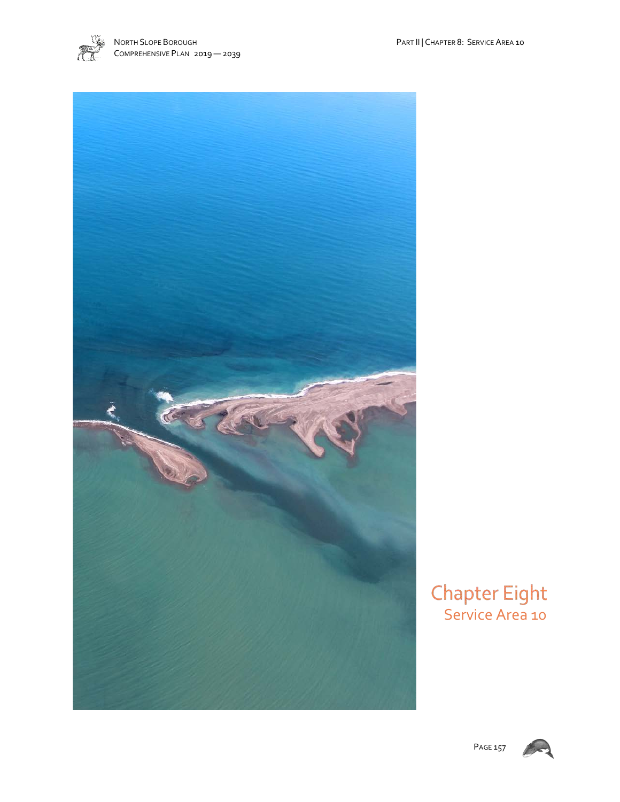

**R** 





**Chapter Eight** Service Area 10

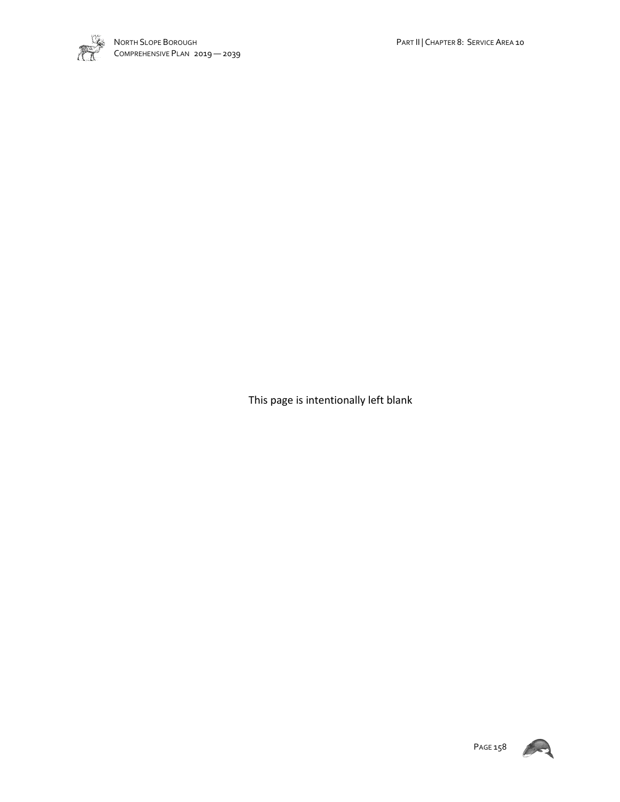

This page is intentionally left blank

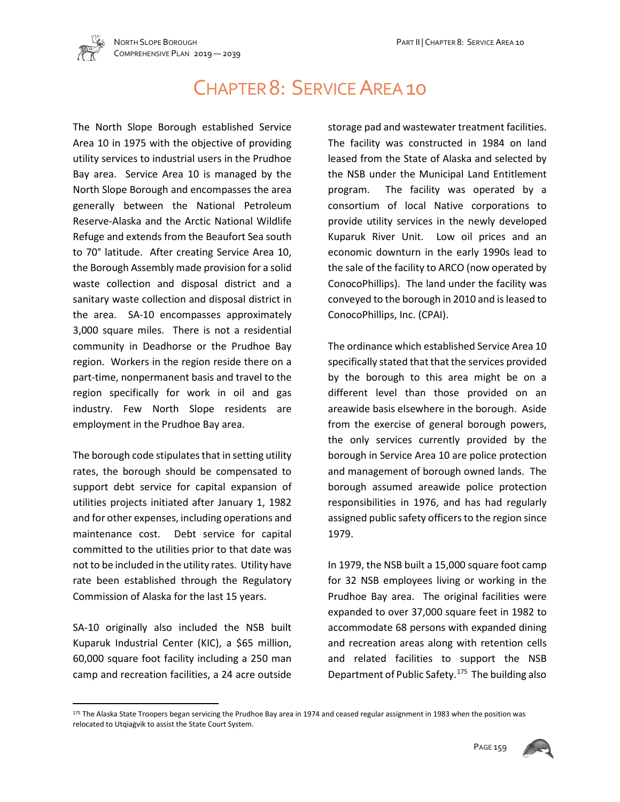

The North Slope Borough established Service Area 10 in 1975 with the objective of providing utility services to industrial users in the Prudhoe Bay area. Service Area 10 is managed by the North Slope Borough and encompasses the area generally between the National Petroleum Reserve-Alaska and the Arctic National Wildlife Refuge and extends from the Beaufort Sea south to 70° latitude. After creating Service Area 10, the Borough Assembly made provision for a solid waste collection and disposal district and a sanitary waste collection and disposal district in the area. SA-10 encompasses approximately 3,000 square miles. There is not a residential community in Deadhorse or the Prudhoe Bay region. Workers in the region reside there on a part-time, nonpermanent basis and travel to the region specifically for work in oil and gas industry. Few North Slope residents are employment in the Prudhoe Bay area.

The borough code stipulates that in setting utility rates, the borough should be compensated to support debt service for capital expansion of utilities projects initiated after January 1, 1982 and for other expenses, including operations and maintenance cost. Debt service for capital committed to the utilities prior to that date was not to be included in the utility rates. Utility have rate been established through the Regulatory Commission of Alaska for the last 15 years.

SA-10 originally also included the NSB built Kuparuk Industrial Center (KIC), a \$65 million, 60,000 square foot facility including a 250 man camp and recreation facilities, a 24 acre outside

 $\overline{\phantom{a}}$ 

storage pad and wastewater treatment facilities. The facility was constructed in 1984 on land leased from the State of Alaska and selected by the NSB under the Municipal Land Entitlement program. The facility was operated by a consortium of local Native corporations to provide utility services in the newly developed Kuparuk River Unit. Low oil prices and an economic downturn in the early 1990s lead to the sale of the facility to ARCO (now operated by ConocoPhillips). The land under the facility was conveyed to the borough in 2010 and is leased to ConocoPhillips, Inc. (CPAI).

The ordinance which established Service Area 10 specifically stated that that the services provided by the borough to this area might be on a different level than those provided on an areawide basis elsewhere in the borough. Aside from the exercise of general borough powers, the only services currently provided by the borough in Service Area 10 are police protection and management of borough owned lands. The borough assumed areawide police protection responsibilities in 1976, and has had regularly assigned public safety officers to the region since 1979.

In 1979, the NSB built a 15,000 square foot camp for 32 NSB employees living or working in the Prudhoe Bay area. The original facilities were expanded to over 37,000 square feet in 1982 to accommodate 68 persons with expanded dining and recreation areas along with retention cells and related facilities to support the NSB Department of Public Safety.[175](#page-3-0) The building also



<span id="page-3-0"></span><sup>&</sup>lt;sup>175</sup> The Alaska State Troopers began servicing the Prudhoe Bay area in 1974 and ceased regular assignment in 1983 when the position was relocated to Utqiaġvik to assist the State Court System.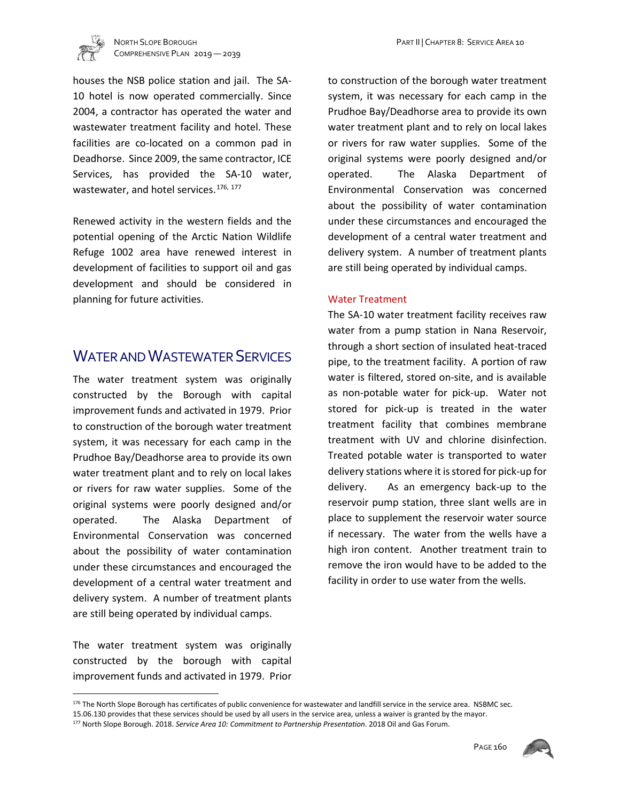

COMPREHENSIVE PLAN 2019 — 2039

houses the NSB police station and jail. The SA-10 hotel is now operated commercially. Since 2004, a contractor has operated the water and wastewater treatment facility and hotel. These facilities are co-located on a common pad in Deadhorse. Since 2009, the same contractor, ICE Services, has provided the SA-10 water, wastewater, and hotel services.<sup>[176](#page-4-0), [177](#page-4-1)</sup>

Renewed activity in the western fields and the potential opening of the Arctic Nation Wildlife Refuge 1002 area have renewed interest in development of facilities to support oil and gas development and should be considered in planning for future activities.

# WATER AND WASTEWATER SERVICES

The water treatment system was originally constructed by the Borough with capital improvement funds and activated in 1979. Prior to construction of the borough water treatment system, it was necessary for each camp in the Prudhoe Bay/Deadhorse area to provide its own water treatment plant and to rely on local lakes or rivers for raw water supplies. Some of the original systems were poorly designed and/or operated. The Alaska Department of Environmental Conservation was concerned about the possibility of water contamination under these circumstances and encouraged the development of a central water treatment and delivery system. A number of treatment plants are still being operated by individual camps.

The water treatment system was originally constructed by the borough with capital improvement funds and activated in 1979. Prior

 $\overline{\phantom{a}}$ 

to construction of the borough water treatment system, it was necessary for each camp in the Prudhoe Bay/Deadhorse area to provide its own water treatment plant and to rely on local lakes or rivers for raw water supplies. Some of the original systems were poorly designed and/or operated. The Alaska Department of Environmental Conservation was concerned about the possibility of water contamination under these circumstances and encouraged the development of a central water treatment and delivery system. A number of treatment plants are still being operated by individual camps.

#### Water Treatment

The SA-10 water treatment facility receives raw water from a pump station in Nana Reservoir, through a short section of insulated heat-traced pipe, to the treatment facility. A portion of raw water is filtered, stored on-site, and is available as non-potable water for pick-up. Water not stored for pick-up is treated in the water treatment facility that combines membrane treatment with UV and chlorine disinfection. Treated potable water is transported to water delivery stations where it is stored for pick-up for delivery. As an emergency back-up to the reservoir pump station, three slant wells are in place to supplement the reservoir water source if necessary. The water from the wells have a high iron content. Another treatment train to remove the iron would have to be added to the facility in order to use water from the wells.



<span id="page-4-0"></span><sup>176</sup> The North Slope Borough has certificates of public convenience for wastewater and landfill service in the service area. NSBMC sec. 15.06.130 provides that these services should be used by all users in the service area, unless a waiver is granted by the mayor.

<span id="page-4-1"></span><sup>177</sup> North Slope Borough. 2018. *Service Area 10: Commitment to Partnership Presentation*. 2018 Oil and Gas Forum.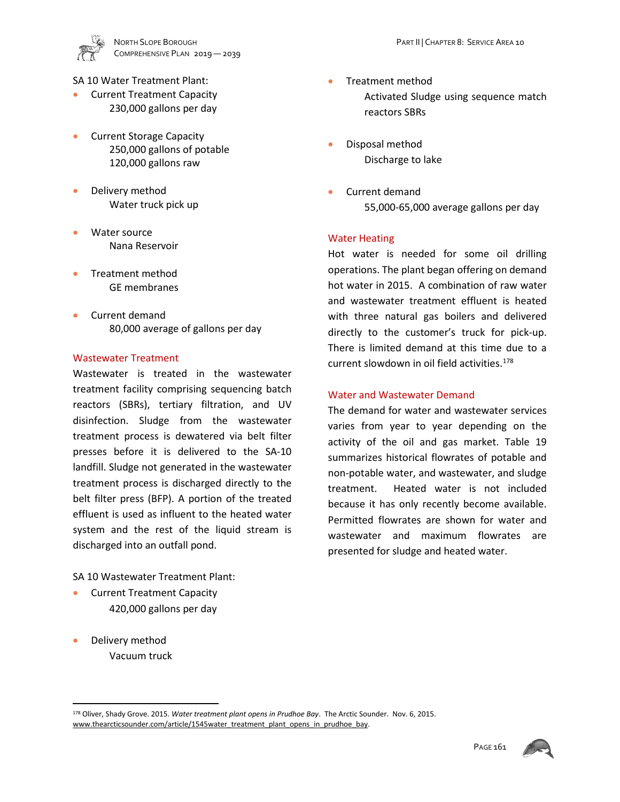

NORTH SLOPE BOROUGH **PART II | CHAPTER 8: SERVICE AREA 10** COMPREHENSIVE PLAN 2019 — 2039

SA 10 Water Treatment Plant:

- Current Treatment Capacity 230,000 gallons per day
- Current Storage Capacity 250,000 gallons of potable 120,000 gallons raw
- Delivery method Water truck pick up
- Water source Nana Reservoir
- Treatment method GE membranes
- Current demand 80,000 average of gallons per day

### Wastewater Treatment

Wastewater is treated in the wastewater treatment facility comprising sequencing batch reactors (SBRs), tertiary filtration, and UV disinfection. Sludge from the wastewater treatment process is dewatered via belt filter presses before it is delivered to the SA-10 landfill. Sludge not generated in the wastewater treatment process is discharged directly to the belt filter press (BFP). A portion of the treated effluent is used as influent to the heated water system and the rest of the liquid stream is discharged into an outfall pond.

SA 10 Wastewater Treatment Plant:

- Current Treatment Capacity 420,000 gallons per day
- Delivery method Vacuum truck

 $\overline{\phantom{a}}$ 

- Treatment method Activated Sludge using sequence match reactors SBRs
- Disposal method Discharge to lake
- Current demand 55,000-65,000 average gallons per day

## Water Heating

Hot water is needed for some oil drilling operations. The plant began offering on demand hot water in 2015. A combination of raw water and wastewater treatment effluent is heated with three natural gas boilers and delivered directly to the customer's truck for pick-up. There is limited demand at this time due to a current slowdown in oil field activities.<sup>[178](#page-5-0)</sup>

## Water and Wastewater Demand

The demand for water and wastewater services varies from year to year depending on the activity of the oil and gas market. Table 19 summarizes historical flowrates of potable and non-potable water, and wastewater, and sludge treatment. Heated water is not included because it has only recently become available. Permitted flowrates are shown for water and wastewater and maximum flowrates are presented for sludge and heated water.



<span id="page-5-0"></span><sup>178</sup> Oliver, Shady Grove. 2015. *Water treatment plant opens in Prudhoe Bay*. The Arctic Sounder. Nov. 6, 2015. www.thearcticsounder.com/article/1545water\_treatment\_plant\_opens\_in\_prudhoe\_bay.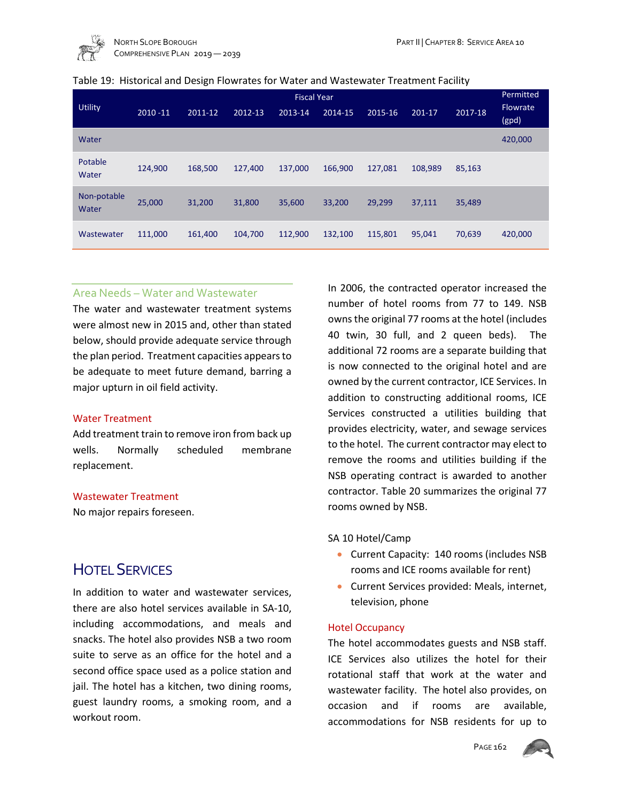| <b>Utility</b>       | <b>Fiscal Year</b> |         |         |         |         |         |          |         | Permitted         |
|----------------------|--------------------|---------|---------|---------|---------|---------|----------|---------|-------------------|
|                      | $2010 - 11$        | 2011-12 | 2012-13 | 2013-14 | 2014-15 | 2015-16 | $201-17$ | 2017-18 | Flowrate<br>(gpd) |
| Water                |                    |         |         |         |         |         |          |         | 420,000           |
| Potable<br>Water     | 124,900            | 168,500 | 127,400 | 137,000 | 166,900 | 127,081 | 108,989  | 85,163  |                   |
| Non-potable<br>Water | 25,000             | 31,200  | 31,800  | 35,600  | 33,200  | 29,299  | 37,111   | 35,489  |                   |
| Wastewater           | 111,000            | 161,400 | 104,700 | 112,900 | 132,100 | 115,801 | 95,041   | 70,639  | 420,000           |

# Area Needs – Water and Wastewater

The water and wastewater treatment systems were almost new in 2015 and, other than stated below, should provide adequate service through the plan period. Treatment capacities appears to be adequate to meet future demand, barring a major upturn in oil field activity.

## Water Treatment

Add treatment train to remove iron from back up wells. Normally scheduled membrane replacement.

## Wastewater Treatment

No major repairs foreseen.

# HOTEL SERVICES

In addition to water and wastewater services, there are also hotel services available in SA-10, including accommodations, and meals and snacks. The hotel also provides NSB a two room suite to serve as an office for the hotel and a second office space used as a police station and jail. The hotel has a kitchen, two dining rooms, guest laundry rooms, a smoking room, and a workout room.

In 2006, the contracted operator increased the number of hotel rooms from 77 to 149. NSB owns the original 77 rooms at the hotel (includes 40 twin, 30 full, and 2 queen beds). The additional 72 rooms are a separate building that is now connected to the original hotel and are owned by the current contractor, ICE Services. In addition to constructing additional rooms, ICE Services constructed a utilities building that provides electricity, water, and sewage services to the hotel. The current contractor may elect to remove the rooms and utilities building if the NSB operating contract is awarded to another contractor. Table 20 summarizes the original 77 rooms owned by NSB.

# SA 10 Hotel/Camp

- Current Capacity: 140 rooms (includes NSB rooms and ICE rooms available for rent)
- Current Services provided: Meals, internet, television, phone

# Hotel Occupancy

The hotel accommodates guests and NSB staff. ICE Services also utilizes the hotel for their rotational staff that work at the water and wastewater facility. The hotel also provides, on occasion and if rooms are available, accommodations for NSB residents for up to

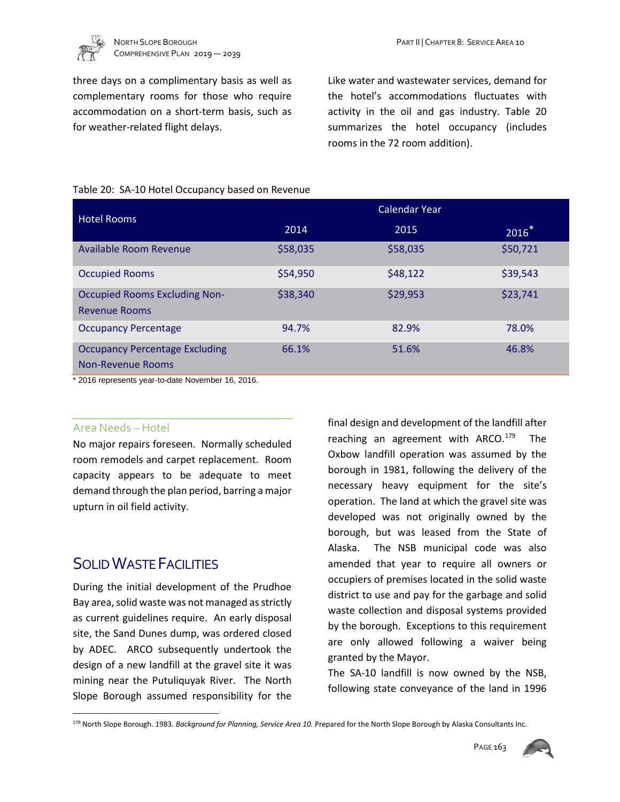

three days on a complimentary basis as well as complementary rooms for those who require accommodation on a short-term basis, such as for weather-related flight delays.

Like water and wastewater services, demand for the hotel's accommodations fluctuates with activity in the oil and gas industry. Table 20 summarizes the hotel occupancy (includes rooms in the 72 room addition).

| <b>Hotel Rooms</b>                                                | <b>Calendar Year</b> |          |          |  |  |  |
|-------------------------------------------------------------------|----------------------|----------|----------|--|--|--|
|                                                                   | 2014                 | 2015     | $2016*$  |  |  |  |
| Available Room Revenue                                            | \$58,035             | \$58,035 | \$50,721 |  |  |  |
| <b>Occupied Rooms</b>                                             | \$54,950             | \$48,122 | \$39,543 |  |  |  |
| <b>Occupied Rooms Excluding Non-</b><br><b>Revenue Rooms</b>      | \$38,340             | \$29,953 | \$23,741 |  |  |  |
| <b>Occupancy Percentage</b>                                       | 94.7%                | 82.9%    | 78.0%    |  |  |  |
| <b>Occupancy Percentage Excluding</b><br><b>Non-Revenue Rooms</b> | 66.1%                | 51.6%    | 46.8%    |  |  |  |

#### Table 20: SA-10 Hotel Occupancy based on Revenue

\* 2016 represents year-to-date November 16, 2016.

#### Area Needs – Hotel

No major repairs foreseen. Normally scheduled room remodels and carpet replacement. Room capacity appears to be adequate to meet demand through the plan period, barring a major upturn in oil field activity.

# **SOLID WASTE FACILITIES**

 $\overline{\phantom{a}}$ 

During the initial development of the Prudhoe Bay area, solid waste was not managed as strictly as current guidelines require. An early disposal site, the Sand Dunes dump, was ordered closed by ADEC. ARCO subsequently undertook the design of a new landfill at the gravel site it was mining near the Putuliquyak River. The North Slope Borough assumed responsibility for the

final design and development of the landfill after reaching an agreement with ARCO. $179$  The Oxbow landfill operation was assumed by the borough in 1981, following the delivery of the necessary heavy equipment for the site's operation. The land at which the gravel site was developed was not originally owned by the borough, but was leased from the State of Alaska. The NSB municipal code was also amended that year to require all owners or occupiers of premises located in the solid waste district to use and pay for the garbage and solid waste collection and disposal systems provided by the borough. Exceptions to this requirement are only allowed following a waiver being granted by the Mayor.

The SA-10 landfill is now owned by the NSB, following state conveyance of the land in 1996



<span id="page-7-0"></span><sup>179</sup> North Slope Borough. 1983. *Background for Planning, Service Area 10.* Prepared for the North Slope Borough by Alaska Consultants Inc.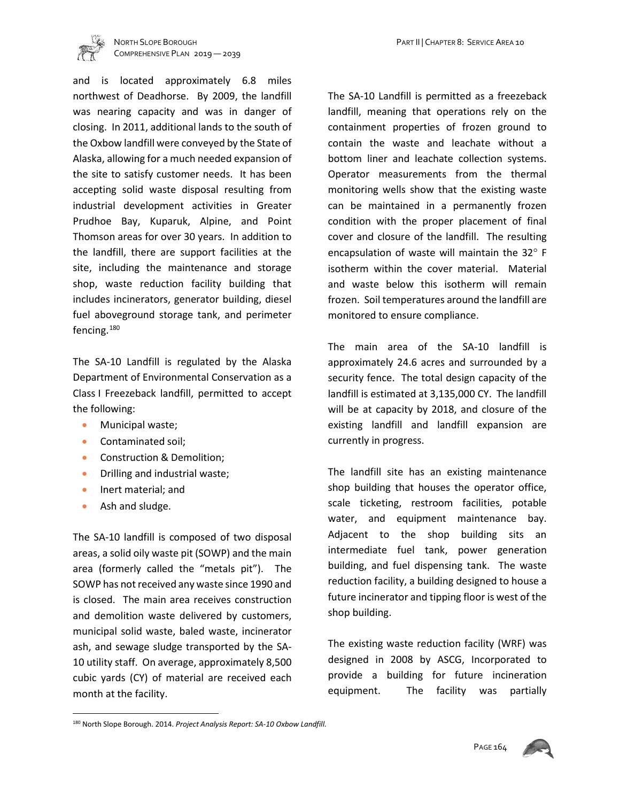

and is located approximately 6.8 miles northwest of Deadhorse. By 2009, the landfill was nearing capacity and was in danger of closing. In 2011, additional lands to the south of the Oxbow landfill were conveyed by the State of Alaska, allowing for a much needed expansion of the site to satisfy customer needs. It has been accepting solid waste disposal resulting from industrial development activities in Greater Prudhoe Bay, Kuparuk, Alpine, and Point Thomson areas for over 30 years. In addition to the landfill, there are support facilities at the site, including the maintenance and storage shop, waste reduction facility building that includes incinerators, generator building, diesel fuel aboveground storage tank, and perimeter fencing.[180](#page-8-0)

The SA-10 Landfill is regulated by the Alaska Department of Environmental Conservation as a Class I Freezeback landfill, permitted to accept the following:

- Municipal waste;
- Contaminated soil:
- Construction & Demolition;
- Drilling and industrial waste;
- Inert material; and
- Ash and sludge.

 $\overline{\phantom{a}}$ 

The SA-10 landfill is composed of two disposal areas, a solid oily waste pit (SOWP) and the main area (formerly called the "metals pit"). The SOWP has not received any waste since 1990 and is closed. The main area receives construction and demolition waste delivered by customers, municipal solid waste, baled waste, incinerator ash, and sewage sludge transported by the SA-10 utility staff. On average, approximately 8,500 cubic yards (CY) of material are received each month at the facility.

The SA-10 Landfill is permitted as a freezeback landfill, meaning that operations rely on the containment properties of frozen ground to contain the waste and leachate without a bottom liner and leachate collection systems. Operator measurements from the thermal monitoring wells show that the existing waste can be maintained in a permanently frozen condition with the proper placement of final cover and closure of the landfill. The resulting encapsulation of waste will maintain the 32° F isotherm within the cover material. Material and waste below this isotherm will remain frozen. Soil temperatures around the landfill are monitored to ensure compliance.

The main area of the SA-10 landfill is approximately 24.6 acres and surrounded by a security fence. The total design capacity of the landfill is estimated at 3,135,000 CY. The landfill will be at capacity by 2018, and closure of the existing landfill and landfill expansion are currently in progress.

The landfill site has an existing maintenance shop building that houses the operator office, scale ticketing, restroom facilities, potable water, and equipment maintenance bay. Adjacent to the shop building sits an intermediate fuel tank, power generation building, and fuel dispensing tank. The waste reduction facility, a building designed to house a future incinerator and tipping floor is west of the shop building.

The existing waste reduction facility (WRF) was designed in 2008 by ASCG, Incorporated to provide a building for future incineration equipment. The facility was partially



<span id="page-8-0"></span><sup>180</sup> North Slope Borough. 2014. *Project Analysis Report: SA-10 Oxbow Landfill.*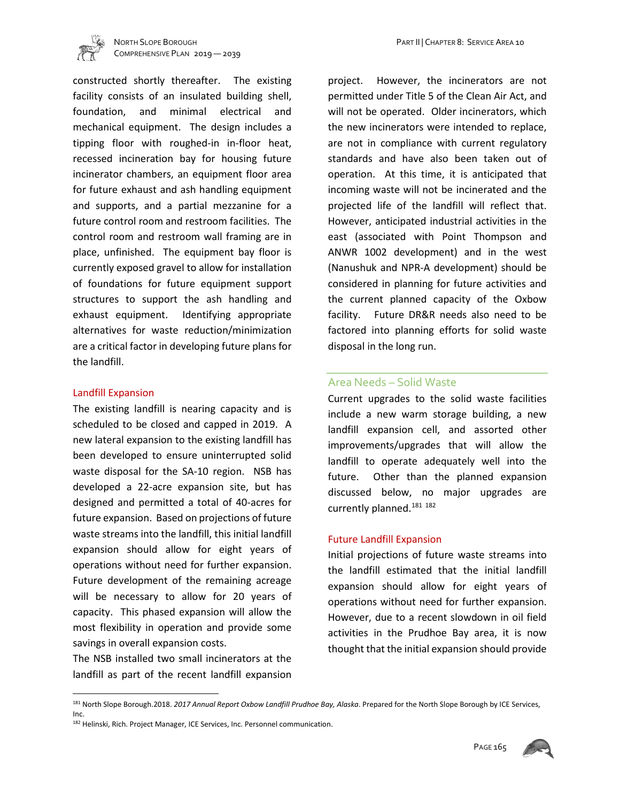

constructed shortly thereafter. The existing facility consists of an insulated building shell, foundation, and minimal electrical and mechanical equipment. The design includes a tipping floor with roughed-in in-floor heat, recessed incineration bay for housing future incinerator chambers, an equipment floor area for future exhaust and ash handling equipment and supports, and a partial mezzanine for a future control room and restroom facilities. The control room and restroom wall framing are in place, unfinished. The equipment bay floor is currently exposed gravel to allow for installation of foundations for future equipment support structures to support the ash handling and exhaust equipment. Identifying appropriate alternatives for waste reduction/minimization are a critical factor in developing future plans for the landfill.

#### Landfill Expansion

 $\overline{\phantom{a}}$ 

The existing landfill is nearing capacity and is scheduled to be closed and capped in 2019. A new lateral expansion to the existing landfill has been developed to ensure uninterrupted solid waste disposal for the SA-10 region. NSB has developed a 22-acre expansion site, but has designed and permitted a total of 40-acres for future expansion. Based on projections of future waste streams into the landfill, this initial landfill expansion should allow for eight years of operations without need for further expansion. Future development of the remaining acreage will be necessary to allow for 20 years of capacity. This phased expansion will allow the most flexibility in operation and provide some savings in overall expansion costs.

The NSB installed two small incinerators at the landfill as part of the recent landfill expansion

project. However, the incinerators are not permitted under Title 5 of the Clean Air Act, and will not be operated. Older incinerators, which the new incinerators were intended to replace, are not in compliance with current regulatory standards and have also been taken out of operation. At this time, it is anticipated that incoming waste will not be incinerated and the projected life of the landfill will reflect that. However, anticipated industrial activities in the east (associated with Point Thompson and ANWR 1002 development) and in the west (Nanushuk and NPR-A development) should be considered in planning for future activities and the current planned capacity of the Oxbow facility. Future DR&R needs also need to be factored into planning efforts for solid waste disposal in the long run.

### Area Needs – Solid Waste

Current upgrades to the solid waste facilities include a new warm storage building, a new landfill expansion cell, and assorted other improvements/upgrades that will allow the landfill to operate adequately well into the future. Other than the planned expansion discussed below, no major upgrades are currently planned.<sup>[181](#page-9-0) [182](#page-9-1)</sup>

#### Future Landfill Expansion

Initial projections of future waste streams into the landfill estimated that the initial landfill expansion should allow for eight years of operations without need for further expansion. However, due to a recent slowdown in oil field activities in the Prudhoe Bay area, it is now thought that the initial expansion should provide



<span id="page-9-0"></span><sup>181</sup> North Slope Borough.2018. *2017 Annual Report Oxbow Landfill Prudhoe Bay, Alaska*. Prepared for the North Slope Borough by ICE Services, Inc.

<span id="page-9-1"></span><sup>182</sup> Helinski, Rich. Project Manager, ICE Services, Inc. Personnel communication.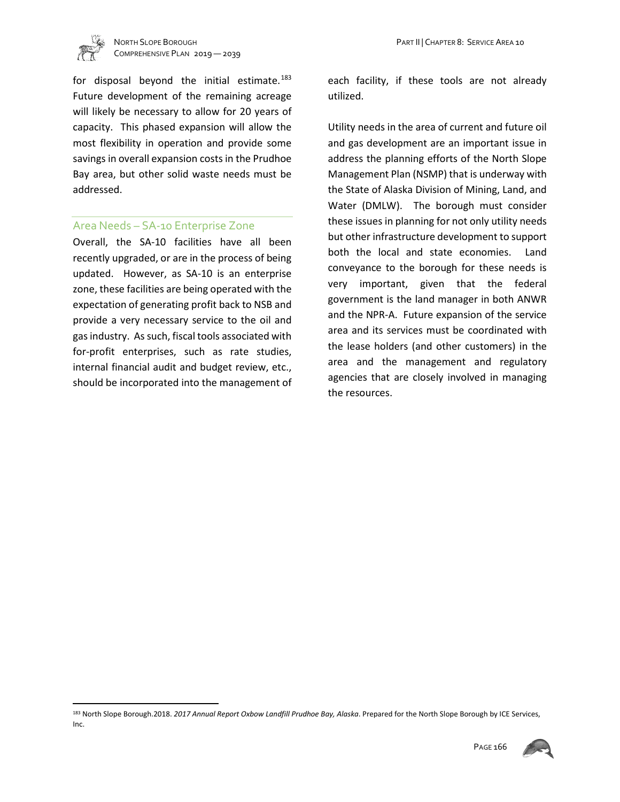

NORTH SLOPE BOROUGH **PART II | CHAPTER 8: SERVICE AREA 10** COMPREHENSIVE PLAN 2019 — 2039

for disposal beyond the initial estimate.<sup>[183](#page-10-0)</sup> Future development of the remaining acreage will likely be necessary to allow for 20 years of capacity. This phased expansion will allow the most flexibility in operation and provide some savings in overall expansion costs in the Prudhoe Bay area, but other solid waste needs must be addressed.

## Area Needs – SA-10 Enterprise Zone

Overall, the SA-10 facilities have all been recently upgraded, or are in the process of being updated. However, as SA-10 is an enterprise zone, these facilities are being operated with the expectation of generating profit back to NSB and provide a very necessary service to the oil and gas industry. As such, fiscal tools associated with for-profit enterprises, such as rate studies, internal financial audit and budget review, etc., should be incorporated into the management of

each facility, if these tools are not already utilized.

Utility needs in the area of current and future oil and gas development are an important issue in address the planning efforts of the North Slope Management Plan (NSMP) that is underway with the State of Alaska Division of Mining, Land, and Water (DMLW). The borough must consider these issues in planning for not only utility needs but other infrastructure development to support both the local and state economies. Land conveyance to the borough for these needs is very important, given that the federal government is the land manager in both ANWR and the NPR-A. Future expansion of the service area and its services must be coordinated with the lease holders (and other customers) in the area and the management and regulatory agencies that are closely involved in managing the resources.

<span id="page-10-0"></span><sup>183</sup> North Slope Borough.2018. *2017 Annual Report Oxbow Landfill Prudhoe Bay, Alaska*. Prepared for the North Slope Borough by ICE Services, Inc.

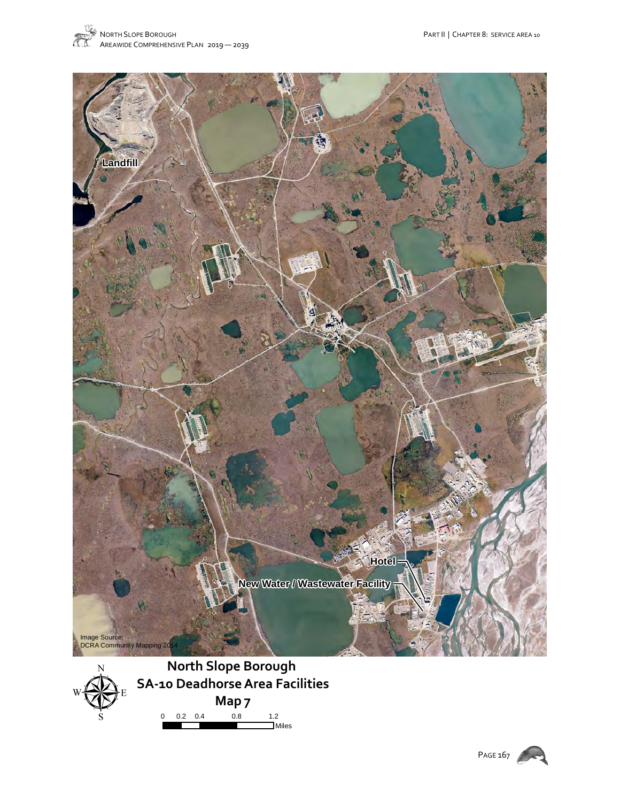



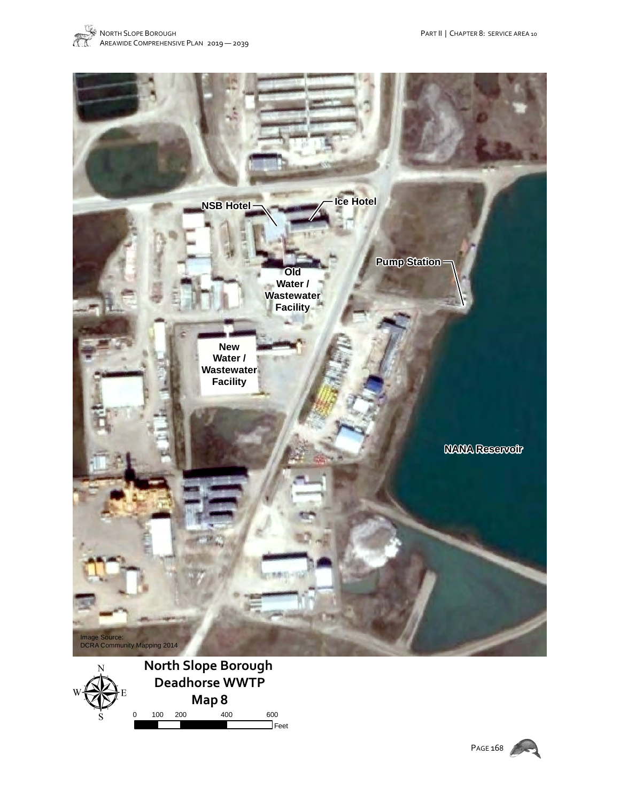